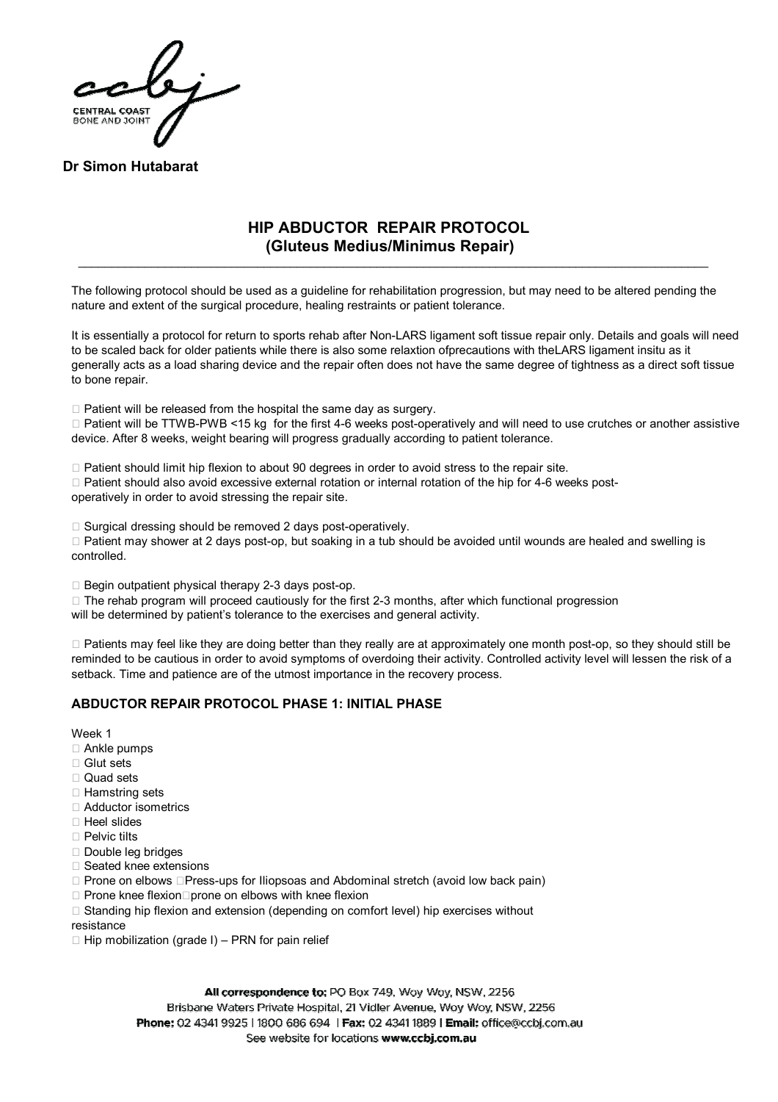

**Dr Simon Hutabarat**

# **HIP ABDUCTOR REPAIR PROTOCOL (Gluteus Medius/Minimus Repair)**

\_\_\_\_\_\_\_\_\_\_\_\_\_\_\_\_\_\_\_\_\_\_\_\_\_\_\_\_\_\_\_\_\_\_\_\_\_\_\_\_\_\_\_\_\_\_\_\_\_\_\_\_\_\_\_\_\_\_\_\_\_\_\_\_\_\_\_\_\_\_\_\_\_\_\_\_\_\_\_\_\_\_\_\_\_\_\_\_\_\_\_\_\_\_\_

The following protocol should be used as a guideline for rehabilitation progression, but may need to be altered pending the nature and extent of the surgical procedure, healing restraints or patient tolerance.

It is essentially a protocol for return to sports rehab after Non-LARS ligament soft tissue repair only. Details and goals will need to be scaled back for older patients while there is also some relaxtion ofprecautions with theLARS ligament insitu as it generally acts as a load sharing device and the repair often does not have the same degree of tightness as a direct soft tissue to bone repair.

 $\Box$  Patient will be released from the hospital the same day as surgery.

 $\Box$  Patient will be TTWB-PWB <15 kg for the first 4-6 weeks post-operatively and will need to use crutches or another assistive device. After 8 weeks, weight bearing will progress gradually according to patient tolerance.

 $\Box$  Patient should limit hip flexion to about 90 degrees in order to avoid stress to the repair site.

 $\Box$  Patient should also avoid excessive external rotation or internal rotation of the hip for 4-6 weeks postoperatively in order to avoid stressing the repair site.

 $\Box$  Surgical dressing should be removed 2 days post-operatively.

 $\Box$  Patient may shower at 2 days post-op, but soaking in a tub should be avoided until wounds are healed and swelling is controlled.

 $\Box$  Begin outpatient physical therapy 2-3 days post-op.

 $\Box$  The rehab program will proceed cautiously for the first 2-3 months, after which functional progression

will be determined by patient's tolerance to the exercises and general activity.

 $\Box$  Patients may feel like they are doing better than they really are at approximately one month post-op, so they should still be reminded to be cautious in order to avoid symptoms of overdoing their activity. Controlled activity level will lessen the risk of a setback. Time and patience are of the utmost importance in the recovery process.

## **ABDUCTOR REPAIR PROTOCOL PHASE 1: INITIAL PHASE**

Week 1

- □ Ankle pumps
- $\square$  Glut sets
- $\square$  Quad sets
- $\Box$  Hamstring sets
- Adductor isometrics
- $\Box$  Heel slides
- $\Box$  Pelvic tilts
- □ Double leg bridges
- □ Seated knee extensions
- $\Box$  Prone on elbows  $\Box$  Press-ups for Iliopsoas and Abdominal stretch (avoid low back pain)
- $\Box$  Prone knee flexion $\Box$ prone on elbows with knee flexion
- $\Box$  Standing hip flexion and extension (depending on comfort level) hip exercises without
- resistance
- $\Box$  Hip mobilization (grade I) PRN for pain relief

All correspondence to: PO Box 749, Woy Woy, NSW, 2256 Brisbane Waters Private Hospital, 21 Vidler Avenue, Woy Woy, NSW, 2256 Phone: 02 4341 9925 | 1800 686 694 | Fax: 02 4341 1889 | Email: office@ccbj.com.au See website for locations www.ccbj.com.au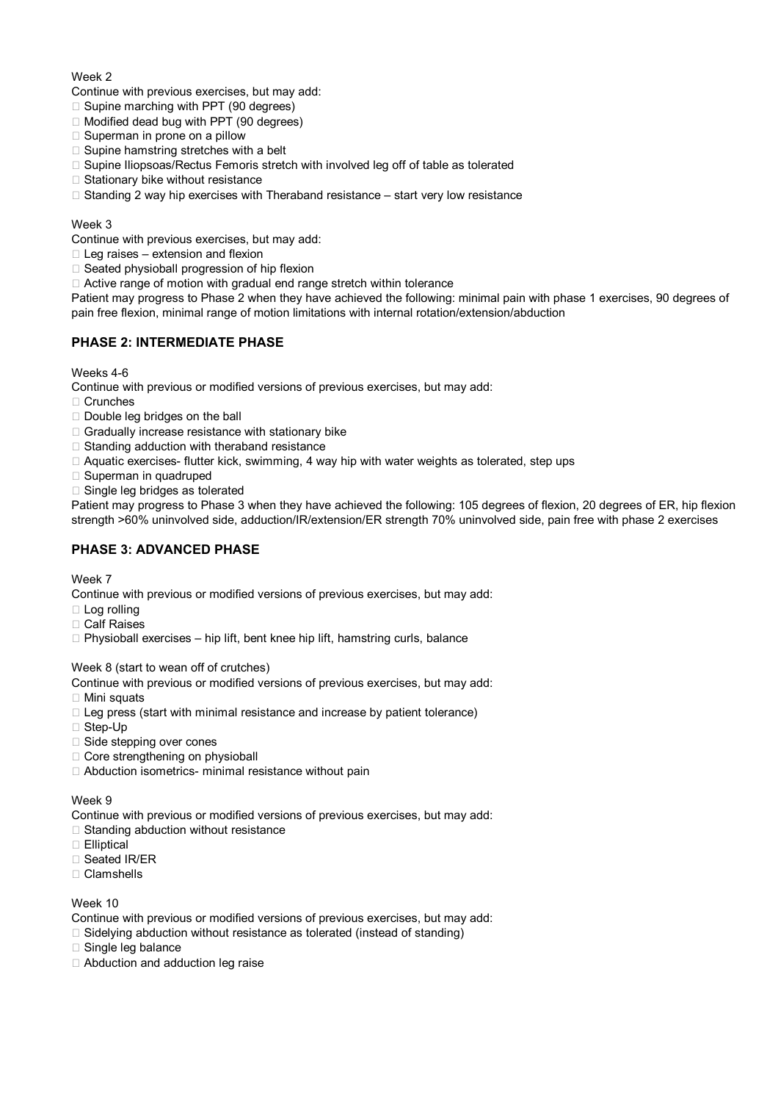### Week<sub>2</sub>

Continue with previous exercises, but may add:

- $\Box$  Supine marching with PPT (90 degrees)
- $\Box$  Modified dead bug with PPT (90 degrees)
- $\square$  Superman in prone on a pillow
- $\Box$  Supine hamstring stretches with a belt
- $\Box$  Supine Iliopsoas/Rectus Femoris stretch with involved leg off of table as tolerated
- $\Box$  Stationary bike without resistance
- $\Box$  Standing 2 way hip exercises with Theraband resistance start very low resistance

### Week 3

Continue with previous exercises, but may add:

- $\Box$  Leg raises extension and flexion
- $\Box$  Seated physioball progression of hip flexion
- $\Box$  Active range of motion with gradual end range stretch within tolerance

Patient may progress to Phase 2 when they have achieved the following: minimal pain with phase 1 exercises, 90 degrees of pain free flexion, minimal range of motion limitations with internal rotation/extension/abduction

## **PHASE 2: INTERMEDIATE PHASE**

Weeks 4-6

Continue with previous or modified versions of previous exercises, but may add:

- □ Crunches
- □ Double leg bridges on the ball
- $\Box$  Gradually increase resistance with stationary bike
- □ Standing adduction with theraband resistance
- $\Box$  Aquatic exercises- flutter kick, swimming, 4 way hip with water weights as tolerated, step ups
- $\square$  Superman in quadruped
- □ Single leg bridges as tolerated

Patient may progress to Phase 3 when they have achieved the following: 105 degrees of flexion, 20 degrees of ER, hip flexion strength >60% uninvolved side, adduction/IR/extension/ER strength 70% uninvolved side, pain free with phase 2 exercises

## **PHASE 3: ADVANCED PHASE**

Week 7

Continue with previous or modified versions of previous exercises, but may add:

- □ Log rolling
- □ Calf Raises
- $\Box$  Physioball exercises  $-$  hip lift, bent knee hip lift, hamstring curls, balance

Week 8 (start to wean off of crutches)

Continue with previous or modified versions of previous exercises, but may add:

- $\Box$  Mini squats
- $\Box$  Leg press (start with minimal resistance and increase by patient tolerance)
- $\Box$  Step-Up
- $\Box$  Side stepping over cones
- □ Core strengthening on physioball
- □ Abduction isometrics- minimal resistance without pain

### Week 9

Continue with previous or modified versions of previous exercises, but may add:

- $\Box$  Standing abduction without resistance
- □ Elliptical
- □ Seated IR/ER
- □ Clamshells

### Week 10

Continue with previous or modified versions of previous exercises, but may add:

- $\Box$  Sidelying abduction without resistance as tolerated (instead of standing)
- □ Single leg balance
- □ Abduction and adduction leg raise